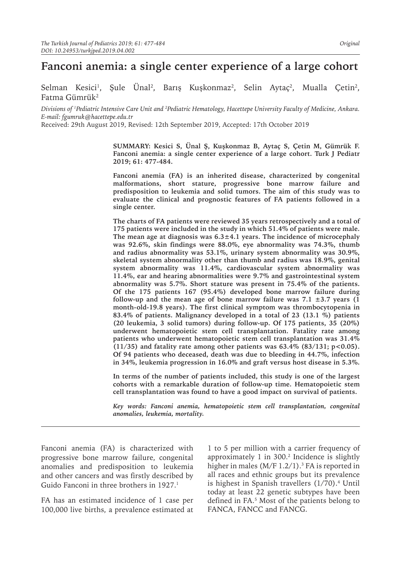# **Fanconi anemia: a single center experience of a large cohort**

Selman Kesici<sup>ı</sup>, Şule Unal<sup>2</sup>, Barış Kuşkonmaz<sup>2</sup>, Selin Aytaç<sup>2</sup>, Mualla Çetin<sup>2</sup>, Fatma Gümrük<sup>2</sup>

*Divisions of 1 Pediatric Intensive Care Unit and 2 Pediatric Hematology, Hacettepe University Faculty of Medicine, Ankara. E-mail: fgumruk@hacettepe.edu.tr*

Received: 29th August 2019, Revised: 12th September 2019, Accepted: 17th October 2019

**SUMMARY: Kesici S, Ünal Ş, Kuşkonmaz B, Aytaç S, Çetin M, Gümrük F. Fanconi anemia: a single center experience of a large cohort. Turk J Pediatr 2019; 61: 477-484.**

**Fanconi anemia (FA) is an inherited disease, characterized by congenital malformations, short stature, progressive bone marrow failure and predisposition to leukemia and solid tumors. The aim of this study was to evaluate the clinical and prognostic features of FA patients followed in a single center.**

**The charts of FA patients were reviewed 35 years retrospectively and a total of 175 patients were included in the study in which 51.4% of patients were male. The mean age at diagnosis was 6.3±4.1 years. The incidence of microcephaly was 92.6%, skin findings were 88.0%, eye abnormality was 74.3%, thumb and radius abnormality was 53.1%, urinary system abnormality was 30.9%, skeletal system abnormality other than thumb and radius was 18.9%, genital system abnormality was 11.4%, cardiovascular system abnormality was 11.4%, ear and hearing abnormalities were 9.7% and gastrointestinal system abnormality was 5.7%. Short stature was present in 75.4% of the patients. Of the 175 patients 167 (95.4%) developed bone marrow failure during**  follow-up and the mean age of bone marrow failure was  $7.1 \pm 3.7$  years (1) **month-old-19.8 years). The first clinical symptom was thrombocytopenia in 83.4% of patients. Malignancy developed in a total of 23 (13.1 %) patients (20 leukemia, 3 solid tumors) during follow-up. Of 175 patients, 35 (20%) underwent hematopoietic stem cell transplantation. Fatality rate among patients who underwent hematopoietic stem cell transplantation was 31.4% (11/35) and fatality rate among other patients was 63.4% (83/131; p<0.05). Of 94 patients who deceased, death was due to bleeding in 44.7%, infection in 34%, leukemia progression in 16.0% and graft versus host disease in 5.3%.**

**In terms of the number of patients included, this study is one of the largest cohorts with a remarkable duration of follow-up time. Hematopoietic stem cell transplantation was found to have a good impact on survival of patients.** 

*Key words: Fanconi anemia, hematopoietic stem cell transplantation, congenital anomalies, leukemia, mortality.*

Fanconi anemia (FA) is characterized with progressive bone marrow failure, congenital anomalies and predisposition to leukemia and other cancers and was firstly described by Guido Fanconi in three brothers in 1927.<sup>1</sup>

FA has an estimated incidence of 1 case per 100,000 live births, a prevalence estimated at

1 to 5 per million with a carrier frequency of approximately 1 in 300.<sup>2</sup> Incidence is slightly higher in males (M/F  $1.2/1$ ).<sup>3</sup> FA is reported in all races and ethnic groups but its prevalence is highest in Spanish travellers (1/70).<sup>4</sup> Until today at least 22 genetic subtypes have been defined in FA.5 Most of the patients belong to FANCA, FANCC and FANCG.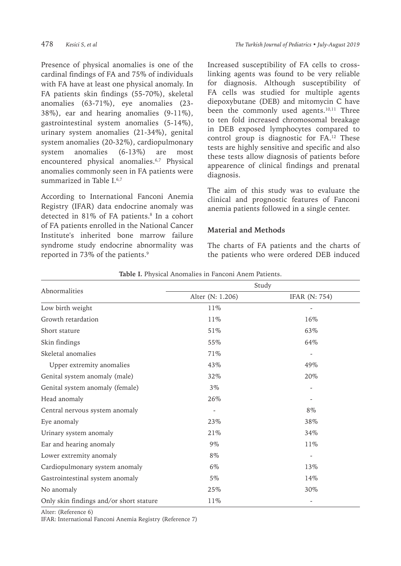Presence of physical anomalies is one of the cardinal findings of FA and 75% of individuals with FA have at least one physical anomaly. In FA patients skin findings (55-70%), skeletal anomalies (63-71%), eye anomalies (23- 38%), ear and hearing anomalies (9-11%), gastrointestinal system anomalies (5-14%), urinary system anomalies (21-34%), genital system anomalies (20-32%), cardiopulmonary system anomalies (6-13%) are most encountered physical anomalies.<sup>6,7</sup> Physical anomalies commonly seen in FA patients were summarized in Table  $I^{6,7}$ 

According to International Fanconi Anemia Registry (IFAR) data endocrine anomaly was detected in 81% of FA patients.8 In a cohort of FA patients enrolled in the National Cancer Institute's inherited bone marrow failure syndrome study endocrine abnormality was reported in 73% of the patients.<sup>9</sup>

Increased susceptibility of FA cells to crosslinking agents was found to be very reliable for diagnosis. Although susceptibility of FA cells was studied for multiple agents diepoxybutane (DEB) and mitomycin C have been the commonly used agents. $10,11$  Three to ten fold increased chromosomal breakage in DEB exposed lymphocytes compared to control group is diagnostic for FA.<sup>12</sup> These tests are highly sensitive and specific and also these tests allow diagnosis of patients before appearence of clinical findings and prenatal diagnosis.

The aim of this study was to evaluate the clinical and prognostic features of Fanconi anemia patients followed in a single center.

# **Material and Methods**

The charts of FA patients and the charts of the patients who were ordered DEB induced

| Abnormalities                           | Study                    |                      |  |
|-----------------------------------------|--------------------------|----------------------|--|
|                                         | Alter (N: 1.206)         | <b>IFAR (N: 754)</b> |  |
| Low birth weight                        | 11%                      |                      |  |
| Growth retardation                      | 11%                      | 16%                  |  |
| Short stature                           | 51%                      | 63%                  |  |
| Skin findings                           | 55%                      | 64%                  |  |
| Skeletal anomalies                      | 71%                      |                      |  |
| Upper extremity anomalies               | 43%                      | 49%                  |  |
| Genital system anomaly (male)           | 32%                      | 20%                  |  |
| Genital system anomaly (female)         | $3\%$                    |                      |  |
| Head anomaly                            | 26%                      |                      |  |
| Central nervous system anomaly          | $\overline{\phantom{m}}$ | $8\%$                |  |
| Eye anomaly                             | 23\%                     | 38%                  |  |
| Urinary system anomaly                  | 21\%                     | 34%                  |  |
| Ear and hearing anomaly                 | $9\%$                    | 11%                  |  |
| Lower extremity anomaly                 | 8%                       |                      |  |
| Cardiopulmonary system anomaly          | 6%                       | 13\%                 |  |
| Gastrointestinal system anomaly         | 5%                       | 14%                  |  |
| No anomaly                              | 25%                      | 30%                  |  |
| Only skin findings and/or short stature | 11%                      |                      |  |

**Table I.** Physical Anomalies in Fanconi Anem Patients.

Alter: (Reference 6)

IFAR: International Fanconi Anemia Registry (Reference 7)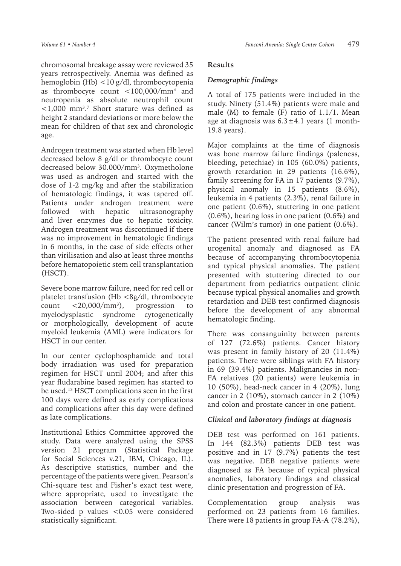chromosomal breakage assay were reviewed 35 years retrospectively. Anemia was defined as hemoglobin (Hb) <10 g/dl, thrombocytopenia as thrombocyte count <100,000/mm3 and neutropenia as absolute neutrophil count  $\langle 1,000 \text{ mm}^3 \rangle$ . Short stature was defined as height 2 standard deviations or more below the mean for children of that sex and chronologic age.

Androgen treatment was started when Hb level decreased below 8 g/dl or thrombocyte count decreased below 30.000/mm<sup>3</sup>. Oxymetholone was used as androgen and started with the dose of 1-2 mg/kg and after the stabilization of hematologic findings, it was tapered off. Patients under androgen treatment were followed with hepatic ultrasonography and liver enzymes due to hepatic toxicity. Androgen treatment was discontinued if there was no improvement in hematologic findings in 6 months, in the case of side effects other than virilisation and also at least three months before hematopoietic stem cell transplantation (HSCT).

Severe bone marrow failure, need for red cell or platelet transfusion (Hb <8g/dl, thrombocyte count  $< 20,000/mm^3$ ), ), progression to myelodysplastic syndrome cytogenetically or morphologically, development of acute myeloid leukemia (AML) were indicators for HSCT in our center.

In our center cyclophosphamide and total body irradiation was used for preparation regimen for HSCT until 2004; and after this year fludarabine based regimen has started to be used.13 HSCT complications seen in the first 100 days were defined as early complications and complications after this day were defined as late complications.

Institutional Ethics Committee approved the study. Data were analyzed using the SPSS version 21 program (Statistical Package for Social Sciences v.21, IBM, Chicago, IL). As descriptive statistics, number and the percentage of the patients were given. Pearson's Chi-square test and Fisher's exact test were, where appropriate, used to investigate the association between categorical variables. Two-sided p values <0.05 were considered statistically significant.

# **Results**

# *Demographic findings*

A total of 175 patients were included in the study. Ninety (51.4%) patients were male and male (M) to female (F) ratio of 1.1/1. Mean age at diagnosis was  $6.3 \pm 4.1$  years (1 month-19.8 years).

Major complaints at the time of diagnosis was bone marrow failure findings (paleness, bleeding, petechiae) in 105 (60.0%) patients, growth retardation in 29 patients (16.6%), family screening for FA in 17 patients (9.7%), physical anomaly in 15 patients (8.6%), leukemia in 4 patients (2.3%), renal failure in one patient (0.6%), stuttering in one patient (0.6%), hearing loss in one patient (0.6%) and cancer (Wilm's tumor) in one patient (0.6%).

The patient presented with renal failure had urogenital anomaly and diagnosed as FA because of accompanying thrombocytopenia and typical physical anomalies. The patient presented with stuttering directed to our department from pediatrics outpatient clinic because typical physical anomalies and growth retardation and DEB test confirmed diagnosis before the development of any abnormal hematologic finding.

There was consanguinity between parents of 127 (72.6%) patients. Cancer history was present in family history of 20 (11.4%) patients. There were siblings with FA history in 69 (39.4%) patients. Malignancies in non-FA relatives (20 patients) were leukemia in 10 (50%), head-neck cancer in 4 (20%), lung cancer in 2 (10%), stomach cancer in 2 (10%) and colon and prostate cancer in one patient.

### *Clinical and laboratory findings at diagnosis*

DEB test was performed on 161 patients. In 144 (82.3%) patients DEB test was positive and in 17 (9.7%) patients the test was negative. DEB negative patients were diagnosed as FA because of typical physical anomalies, laboratory findings and classical clinic presentation and progression of FA.

Complementation group analysis was performed on 23 patients from 16 families. There were 18 patients in group FA-A (78.2%),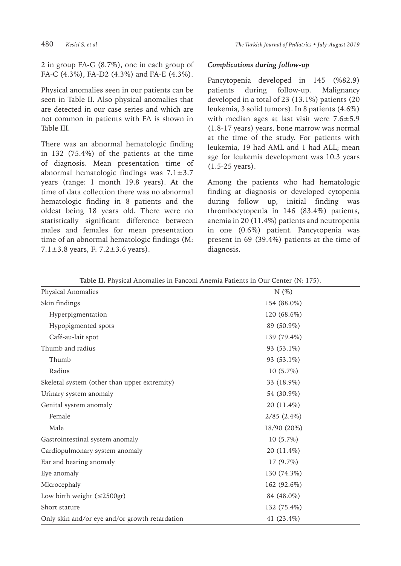2 in group FA-G (8.7%), one in each group of FA-C (4.3%), FA-D2 (4.3%) and FA-E (4.3%).

Physical anomalies seen in our patients can be seen in Table II. Also physical anomalies that are detected in our case series and which are not common in patients with FA is shown in Table III.

There was an abnormal hematologic finding in 132 (75.4%) of the patients at the time of diagnosis. Mean presentation time of abnormal hematologic findings was  $7.1 \pm 3.7$ years (range: 1 month 19.8 years). At the time of data collection there was no abnormal hematologic finding in 8 patients and the oldest being 18 years old. There were no statistically significant difference between males and females for mean presentation time of an abnormal hematologic findings (M: 7.1 $\pm$ 3.8 years, F: 7.2 $\pm$ 3.6 years).

#### *Complications during follow-up*

Pancytopenia developed in 145 (%82.9) patients during follow-up. Malignancy developed in a total of 23 (13.1%) patients (20 leukemia, 3 solid tumors). In 8 patients (4.6%) with median ages at last visit were  $7.6 \pm 5.9$ (1.8-17 years) years, bone marrow was normal at the time of the study. For patients with leukemia, 19 had AML and 1 had ALL; mean age for leukemia development was 10.3 years (1.5-25 years).

Among the patients who had hematologic finding at diagnosis or developed cytopenia during follow up, initial finding was thrombocytopenia in 146 (83.4%) patients, anemia in 20 (11.4%) patients and neutropenia in one (0.6%) patient. Pancytopenia was present in 69 (39.4%) patients at the time of diagnosis.

| Table II. Physical Anomalies in Fanconi Anemia Patients in Our Center (N: 175). |  |  |  |
|---------------------------------------------------------------------------------|--|--|--|
|---------------------------------------------------------------------------------|--|--|--|

| Physical Anomalies                             | N(%)             |
|------------------------------------------------|------------------|
| Skin findings                                  | 154 (88.0%)      |
| Hyperpigmentation                              | 120 (68.6%)      |
| Hypopigmented spots                            | 89 (50.9%)       |
| Café-au-lait spot                              | 139 (79.4%)      |
| Thumb and radius                               | 93 (53.1%)       |
| Thumb                                          | 93 (53.1%)       |
| Radius                                         | $10(5.7\%)$      |
| Skeletal system (other than upper extremity)   | 33 (18.9%)       |
| Urinary system anomaly                         | 54 (30.9%)       |
| Genital system anomaly                         | 20 (11.4%)       |
| Female                                         | $2/85$ $(2.4\%)$ |
| Male                                           | 18/90 (20%)      |
| Gastrointestinal system anomaly                | $10(5.7\%)$      |
| Cardiopulmonary system anomaly                 | 20 (11.4%)       |
| Ear and hearing anomaly                        | 17 (9.7%)        |
| Eye anomaly                                    | 130 (74.3%)      |
| Microcephaly                                   | 162 (92.6%)      |
| Low birth weight $(\leq 2500 \text{gr})$       | 84 (48.0%)       |
| Short stature                                  | 132 (75.4%)      |
| Only skin and/or eye and/or growth retardation | 41 (23.4%)       |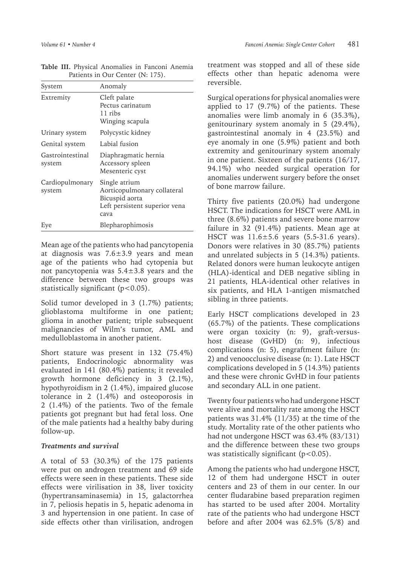| System                     | Anomaly                                                                                                 |
|----------------------------|---------------------------------------------------------------------------------------------------------|
| Extremity                  | Cleft palate<br>Pectus carinatum<br>11 ribs<br>Winging scapula                                          |
| Urinary system             | Polycystic kidney                                                                                       |
| Genital system             | Labial fusion                                                                                           |
| Gastrointestinal<br>system | Diaphragmatic hernia<br>Accessory spleen<br>Mesenteric cyst                                             |
| Cardiopulmonary<br>system  | Single atrium<br>Aorticopulmonary collateral<br>Bicuspid aorta<br>Left persistent superior vena<br>cava |
| Eye                        | Blepharophimosis                                                                                        |

**Table III.** Physical Anomalies in Fanconi Anemia Patients in Our Center (N: 175).

Mean age of the patients who had pancytopenia at diagnosis was  $7.6 \pm 3.9$  years and mean age of the patients who had cytopenia but not pancytopenia was  $5.4 \pm 3.8$  years and the difference between these two groups was statistically significant  $(p<0.05)$ .

Solid tumor developed in 3 (1.7%) patients; glioblastoma multiforme in one patient; glioma in another patient; triple subsequent malignancies of Wilm's tumor, AML and medulloblastoma in another patient.

Short stature was present in 132 (75.4%) patients, Endocrinologic abnormality was evaluated in 141 (80.4%) patients; it revealed growth hormone deficiency in 3 (2.1%), hypothyroidism in 2 (1.4%), impaired glucose tolerance in 2 (1.4%) and osteoporosis in 2 (1.4%) of the patients. Two of the female patients got pregnant but had fetal loss. One of the male patients had a healthy baby during follow-up.

#### *Treatments and survival*

A total of 53 (30.3%) of the 175 patients were put on androgen treatment and 69 side effects were seen in these patients. These side effects were virilisation in 38, liver toxicity (hypertransaminasemia) in 15, galactorrhea in 7, peliosis hepatis in 5, hepatic adenoma in 3 and hypertension in one patient. In case of side effects other than virilisation, androgen

treatment was stopped and all of these side effects other than hepatic adenoma were reversible.

Surgical operations for physical anomalies were applied to 17 (9.7%) of the patients. These anomalies were limb anomaly in 6 (35.3%), genitourinary system anomaly in 5 (29.4%), gastrointestinal anomaly in 4 (23.5%) and eye anomaly in one (5.9%) patient and both extremity and genitourinary system anomaly in one patient. Sixteen of the patients (16/17, 94.1%) who needed surgical operation for anomalies underwent surgery before the onset of bone marrow failure.

Thirty five patients (20.0%) had undergone HSCT. The indications for HSCT were AML in three (8.6%) patients and severe bone marrow failure in 32 (91.4%) patients. Mean age at HSCT was 11.6±5.6 years (5.5-31.6 years). Donors were relatives in 30 (85.7%) patients and unrelated subjects in 5 (14.3%) patients. Related donors were human leukocyte antigen (HLA)-identical and DEB negative sibling in 21 patients, HLA-identical other relatives in six patients, and HLA 1-antigen mismatched sibling in three patients.

Early HSCT complications developed in 23 (65.7%) of the patients. These complications were organ toxicity (n: 9), graft-versushost disease (GvHD) (n: 9), infectious complications (n: 5), engraftment failure (n: 2) and venoocclusive disease (n: 1). Late HSCT complications developed in 5 (14.3%) patients and these were chronic GvHD in four patients and secondary ALL in one patient.

Twenty four patients who had undergone HSCT were alive and mortality rate among the HSCT patients was 31.4% (11/35) at the time of the study. Mortality rate of the other patients who had not undergone HSCT was 63.4% (83/131) and the difference between these two groups was statistically significant (p<0.05).

Among the patients who had undergone HSCT, 12 of them had undergone HSCT in outer centers and 23 of them in our center. In our center fludarabine based preparation regimen has started to be used after 2004. Mortality rate of the patients who had undergone HSCT before and after 2004 was 62.5% (5/8) and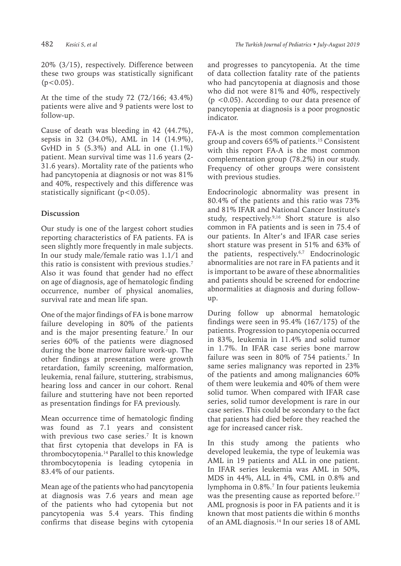20% (3/15), respectively. Difference between these two groups was statistically significant  $(p<0.05)$ .

At the time of the study 72 (72/166; 43.4%) patients were alive and 9 patients were lost to follow-up.

Cause of death was bleeding in 42 (44.7%), sepsis in 32 (34.0%), AML in 14 (14.9%), GvHD in 5  $(5.3\%)$  and ALL in one  $(1.1\%)$ patient. Mean survival time was 11.6 years (2- 31.6 years). Mortality rate of the patients who had pancytopenia at diagnosis or not was 81% and 40%, respectively and this difference was statistically significant  $(p<0.05)$ .

# **Discussion**

Our study is one of the largest cohort studies reporting characteristics of FA patients. FA is seen slightly more frequently in male subjects. In our study male/female ratio was 1.1/1 and this ratio is consistent with previous studies.<sup>7</sup> Also it was found that gender had no effect on age of diagnosis, age of hematologic finding occurrence, number of physical anomalies, survival rate and mean life span.

One of the major findings of FA is bone marrow failure developing in 80% of the patients and is the major presenting feature.7 In our series 60% of the patients were diagnosed during the bone marrow failure work-up. The other findings at presentation were growth retardation, family screening, malformation, leukemia, renal failure, stuttering, strabismus, hearing loss and cancer in our cohort. Renal failure and stuttering have not been reported as presentation findings for FA previously.

Mean occurrence time of hematologic finding was found as 7.1 years and consistent with previous two case series.7 It is known that first cytopenia that develops in FA is thrombocytopenia.<sup>14</sup> Parallel to this knowledge thrombocytopenia is leading cytopenia in 83.4% of our patients.

Mean age of the patients who had pancytopenia at diagnosis was 7.6 years and mean age of the patients who had cytopenia but not pancytopenia was 5.4 years. This finding confirms that disease begins with cytopenia and progresses to pancytopenia. At the time of data collection fatality rate of the patients who had pancytopenia at diagnosis and those who did not were 81% and 40%, respectively (p <0.05). According to our data presence of pancytopenia at diagnosis is a poor prognostic indicator.

FA-A is the most common complementation group and covers 65% of patients.15 Consistent with this report FA-A is the most common complementation group (78.2%) in our study. Frequency of other groups were consistent with previous studies.

Endocrinologic abnormality was present in 80.4% of the patients and this ratio was 73% and 81% IFAR and National Cancer Institute's study, respectively.<sup>9,16</sup> Short stature is also common in FA patients and is seen in 75.4 of our patients. In Alter's and IFAR case series short stature was present in 51% and 63% of the patients, respectively.6,7 Endocrinologic abnormalities are not rare in FA patients and it is important to be aware of these abnormalities and patients should be screened for endocrine abnormalities at diagnosis and during followup.

During follow up abnormal hematologic findings were seen in 95.4% (167/175) of the patients. Progression to pancytopenia occurred in 83%, leukemia in 11.4% and solid tumor in 1.7%. In IFAR case series bone marrow failure was seen in 80% of 754 patients.7 In same series malignancy was reported in 23% of the patients and among malignancies 60% of them were leukemia and 40% of them were solid tumor. When compared with IFAR case series, solid tumor development is rare in our case series. This could be secondary to the fact that patients had died before they reached the age for increased cancer risk.

In this study among the patients who developed leukemia, the type of leukemia was AML in 19 patients and ALL in one patient. In IFAR series leukemia was AML in 50%, MDS in 44%, ALL in 4%, CML in 0.8% and lymphoma in 0.8%.<sup>7</sup> In four patients leukemia was the presenting cause as reported before.<sup>17</sup> AML prognosis is poor in FA patients and it is known that most patients die within 6 months of an AML diagnosis.14 In our series 18 of AML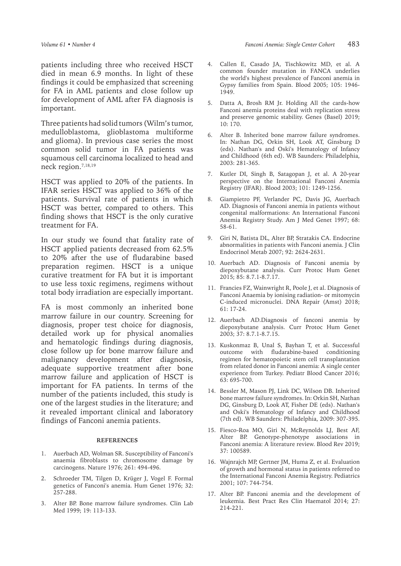patients including three who received HSCT died in mean 6.9 months. In light of these findings it could be emphasized that screening for FA in AML patients and close follow up for development of AML after FA diagnosis is important.

Three patients had solid tumors (Wilm's tumor, medulloblastoma, glioblastoma multiforme and glioma). In previous case series the most common solid tumor in FA patients was squamous cell carcinoma localized to head and neck region.7,18,19

HSCT was applied to 20% of the patients. In IFAR series HSCT was applied to 36% of the patients. Survival rate of patients in which HSCT was better, compared to others. This finding shows that HSCT is the only curative treatment for FA.

In our study we found that fatality rate of HSCT applied patients decreased from 62.5% to 20% after the use of fludarabine based preparation regimen. HSCT is a unique curative treatment for FA but it is important to use less toxic regimens, regimens without total body irradiation are especially important.

FA is most commonly an inherited bone marrow failure in our country. Screening for diagnosis, proper test choice for diagnosis, detailed work up for physical anomalies and hematologic findings during diagnosis, close follow up for bone marrow failure and malignancy development after diagnosis, adequate supportive treatment after bone marrow failure and application of HSCT is important for FA patients. In terms of the number of the patients included, this study is one of the largest studies in the literature; and it revealed important clinical and laboratory findings of Fanconi anemia patients.

#### **REFERENCES**

- 1. Auerbach AD, Wolman SR. Susceptibility of Fanconi's anaemia fibroblasts to chromosome damage by carcinogens. Nature 1976; 261: 494-496.
- 2. Schroeder TM, Tilgen D, Krüger J, Vogel F. Formal genetics of Fanconi's anemia. Hum Genet 1976; 32: 257-288.
- 3. Alter BP. Bone marrow failure syndromes. Clin Lab Med 1999; 19: 113-133.
- 4. Callen E, Casado JA, Tischkowitz MD, et al. A common founder mutation in FANCA underlies the world's highest prevalence of Fanconi anemia in Gypsy families from Spain. Blood 2005; 105: 1946- 1949.
- 5. Datta A, Brosh RM Jr. Holding All the cards-how Fanconi anemia proteins deal with replication stress and preserve genomic stability. Genes (Basel) 2019; 10: 170.
- 6. Alter B. Inherited bone marrow failure syndromes. In: Nathan DG, Orkin SH, Look AT, Ginsburg D (eds). Nathan's and Oski's Hematology of Infancy and Childhood (6th ed). WB Saunders: Philadelphia, 2003: 281-365.
- 7. Kutler DI, Singh B, Satagopan J, et al. A 20-year perspective on the International Fanconi Anemia Registry (IFAR). Blood 2003; 101: 1249-1256.
- 8. Giampietro PF, Verlander PC, Davis JG, Auerbach AD. Diagnosis of Fanconi anemia in patients without congenital malformations: An International Fanconi Anemia Registry Study. Am J Med Genet 1997; 68: 58-61.
- 9. Giri N, Batista DL, Alter BP, Stratakis CA. Endocrine abnormalities in patients with Fanconi anemia. J Clin Endocrinol Metab 2007; 92: 2624-2631.
- 10. Auerbach AD. Diagnosis of Fanconi anemia by diepoxybutane analysis. Curr Protoc Hum Genet 2015; 85: 8.7.1-8.7.17.
- 11. Francies FZ, Wainwright R, Poole J, et al. Diagnosis of Fanconi Anaemia by ionising radiation- or mitomycin C-induced micronuclei. DNA Repair (Amst) 2018; 61: 17-24.
- 12. Auerbach AD.Diagnosis of fanconi anemia by diepoxybutane analysis. Curr Protoc Hum Genet 2003; 37: 8.7.1-8.7.15.
- 13. Kuskonmaz B, Unal S, Bayhan T, et al. Successful outcome with fludarabine-based conditioning regimen for hematopoietic stem cell transplantation from related donor in Fanconi anemia: A single center experience from Turkey. Pediatr Blood Cancer 2016; 63: 695-700.
- 14. Bessler M, Mason PJ, Link DC, Wilson DB. Inherited bone marrow failure syndromes. In: Orkin SH, Nathan DG, Ginsburg D, Look AT, Fisher DE (eds). Nathan's and Oski's Hematology of Infancy and Childhood (7th ed). WB Saunders: Philadelphia, 2009: 307-395.
- 15. Fiesco-Roa MO, Giri N, McReynolds LJ, Best AF, Alter BP. Genotype-phenotype associations in Fanconi anemia: A literature review. Blood Rev 2019; 37: 100589.
- 16. Wajnrajch MP, Gertner JM, Huma Z, et al. Evaluation of growth and hormonal status in patients referred to the International Fanconi Anemia Registry. Pediatrics 2001; 107: 744-754.
- 17. Alter BP. Fanconi anemia and the development of leukemia. Best Pract Res Clin Haematol 2014; 27: 214-221.